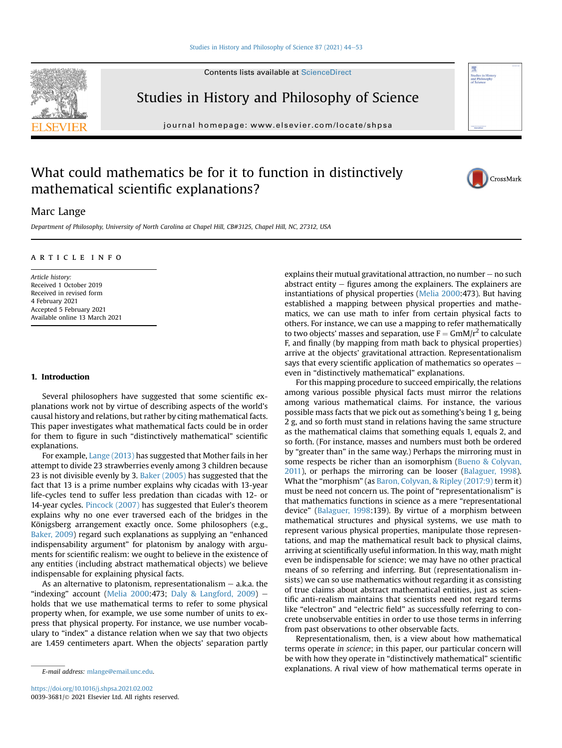Contents lists available at ScienceDirect



Studies in History and Philosophy of Science

journal homepage: [www.elsevier.com/locate/shpsa](http://www.elsevier.com/locate/shpsa)

# What could mathematics be for it to function in distinctively mathematical scientific explanations?



## Marc Lange

Department of Philosophy, University of North Carolina at Chapel Hill, CB#3125, Chapel Hill, NC, 27312, USA

## article info

Article history: Received 1 October 2019 Received in revised form 4 February 2021 Accepted 5 February 2021 Available online 13 March 2021

## <span id="page-0-0"></span>1. Introduction

Several philosophers have suggested that some scientific explanations work not by virtue of describing aspects of the world's causal history and relations, but rather by citing mathematical facts. This paper investigates what mathematical facts could be in order for them to figure in such "distinctively mathematical" scientific explanations.

For example, [Lange \(2013\)](#page-9-0) has suggested that Mother fails in her attempt to divide 23 strawberries evenly among 3 children because 23 is not divisible evenly by 3. [Baker \(2005\)](#page-9-1) has suggested that the fact that 13 is a prime number explains why cicadas with 13-year life-cycles tend to suffer less predation than cicadas with 12- or 14-year cycles. [Pincock \(2007\)](#page-9-2) has suggested that Euler's theorem explains why no one ever traversed each of the bridges in the Königsberg arrangement exactly once. Some philosophers (e.g., [Baker, 2009\)](#page-9-3) regard such explanations as supplying an "enhanced indispensability argument" for platonism by analogy with arguments for scientific realism: we ought to believe in the existence of any entities (including abstract mathematical objects) we believe indispensable for explaining physical facts.

As an alternative to platonism, representationalism  $-$  a.k.a. the "indexing" account [\(Melia 2000](#page-9-4):473; [Daly & Langford, 2009\)](#page-9-5)  $$ holds that we use mathematical terms to refer to some physical property when, for example, we use some number of units to express that physical property. For instance, we use number vocabulary to "index" a distance relation when we say that two objects are 1.459 centimeters apart. When the objects' separation partly explains their mutual gravitational attraction, no number  $-$  no such abstract entity  $-$  figures among the explainers. The explainers are instantiations of physical properties [\(Melia 2000:](#page-9-4)473). But having established a mapping between physical properties and mathematics, we can use math to infer from certain physical facts to others. For instance, we can use a mapping to refer mathematically to two objects' masses and separation, use  $F = GmM/r^2$  to calculate F, and finally (by mapping from math back to physical properties) arrive at the objects' gravitational attraction. Representationalism says that every scientific application of mathematics so operates  $$ even in "distinctively mathematical" explanations.

For this mapping procedure to succeed empirically, the relations among various possible physical facts must mirror the relations among various mathematical claims. For instance, the various possible mass facts that we pick out as something's being 1 g, being 2 g, and so forth must stand in relations having the same structure as the mathematical claims that something equals 1, equals 2, and so forth. (For instance, masses and numbers must both be ordered by "greater than" in the same way.) Perhaps the mirroring must in some respects be richer than an isomorphism [\(Bueno & Colyvan,](#page-9-6) [2011\)](#page-9-6), or perhaps the mirroring can be looser ([Balaguer, 1998\)](#page-9-7). What the "morphism" (as [Baron, Colyvan, & Ripley \(2017:9\)](#page-9-8) term it) must be need not concern us. The point of "representationalism" is that mathematics functions in science as a mere "representational device" ([Balaguer, 1998:](#page-9-7)139). By virtue of a morphism between mathematical structures and physical systems, we use math to represent various physical properties, manipulate those representations, and map the mathematical result back to physical claims, arriving at scientifically useful information. In this way, math might even be indispensable for science; we may have no other practical means of so referring and inferring. But (representationalism insists) we can so use mathematics without regarding it as consisting of true claims about abstract mathematical entities, just as scientific anti-realism maintains that scientists need not regard terms like "electron" and "electric field" as successfully referring to concrete unobservable entities in order to use those terms in inferring from past observations to other observable facts.

Representationalism, then, is a view about how mathematical terms operate in science; in this paper, our particular concern will be with how they operate in "distinctively mathematical" scientific  $E$ -mail address: [mlange@email.unc.edu.](mailto:mlange@email.unc.edu)  $E$ -mail address: mlange@email.unc.edu.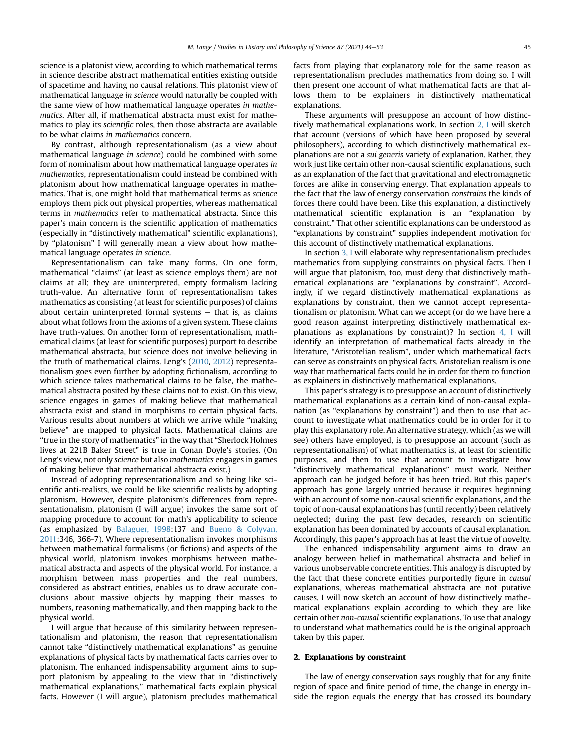science is a platonist view, according to which mathematical terms in science describe abstract mathematical entities existing outside of spacetime and having no causal relations. This platonist view of mathematical language in science would naturally be coupled with the same view of how mathematical language operates in mathematics. After all, if mathematical abstracta must exist for mathematics to play its scientific roles, then those abstracta are available to be what claims in mathematics concern.

By contrast, although representationalism (as a view about mathematical language in science) could be combined with some form of nominalism about how mathematical language operates in mathematics, representationalism could instead be combined with platonism about how mathematical language operates in mathematics. That is, one might hold that mathematical terms as science employs them pick out physical properties, whereas mathematical terms in mathematics refer to mathematical abstracta. Since this paper's main concern is the scientific application of mathematics (especially in "distinctively mathematical" scientific explanations), by "platonism" I will generally mean a view about how mathematical language operates in science.

Representationalism can take many forms. On one form, mathematical "claims" (at least as science employs them) are not claims at all; they are uninterpreted, empty formalism lacking truth-value. An alternative form of representationalism takes mathematics as consisting (at least for scientific purposes) of claims about certain uninterpreted formal systems  $-$  that is, as claims about what follows from the axioms of a given system. These claims have truth-values. On another form of representationalism, mathematical claims (at least for scientific purposes) purport to describe mathematical abstracta, but science does not involve believing in the truth of mathematical claims. Leng's ([2010,](#page-9-9) [2012](#page-9-10)) representationalism goes even further by adopting fictionalism, according to which science takes mathematical claims to be false, the mathematical abstracta posited by these claims not to exist. On this view, science engages in games of making believe that mathematical abstracta exist and stand in morphisms to certain physical facts. Various results about numbers at which we arrive while "making believe" are mapped to physical facts. Mathematical claims are "true in the story of mathematics" in the way that "Sherlock Holmes lives at 221B Baker Street" is true in Conan Doyle's stories. (On Leng's view, not only science but also mathematics engages in games of making believe that mathematical abstracta exist.)

Instead of adopting representationalism and so being like scientific anti-realists, we could be like scientific realists by adopting platonism. However, despite platonism's differences from representationalism, platonism (I will argue) invokes the same sort of mapping procedure to account for math's applicability to science (as emphasized by [Balaguer, 1998:](#page-9-7)137 and [Bueno & Colyvan,](#page-9-6) [2011](#page-9-6):346, 366-7). Where representationalism invokes morphisms between mathematical formalisms (or fictions) and aspects of the physical world, platonism invokes morphisms between mathematical abstracta and aspects of the physical world. For instance, a morphism between mass properties and the real numbers, considered as abstract entities, enables us to draw accurate conclusions about massive objects by mapping their masses to numbers, reasoning mathematically, and then mapping back to the physical world.

I will argue that because of this similarity between representationalism and platonism, the reason that representationalism cannot take "distinctively mathematical explanations" as genuine explanations of physical facts by mathematical facts carries over to platonism. The enhanced indispensability argument aims to support platonism by appealing to the view that in "distinctively mathematical explanations," mathematical facts explain physical facts. However (I will argue), platonism precludes mathematical facts from playing that explanatory role for the same reason as representationalism precludes mathematics from doing so. I will then present one account of what mathematical facts are that allows them to be explainers in distinctively mathematical explanations.

These arguments will presuppose an account of how distinctively mathematical explanations work. In section [2, I](#page-1-0) will sketch that account (versions of which have been proposed by several philosophers), according to which distinctively mathematical explanations are not a sui generis variety of explanation. Rather, they work just like certain other non-causal scientific explanations, such as an explanation of the fact that gravitational and electromagnetic forces are alike in conserving energy. That explanation appeals to the fact that the law of energy conservation constrains the kinds of forces there could have been. Like this explanation, a distinctively mathematical scientific explanation is an "explanation by constraint." That other scientific explanations can be understood as "explanations by constraint" supplies independent motivation for this account of distinctively mathematical explanations.

In section [3, I](#page-3-0) will elaborate why representationalism precludes mathematics from supplying constraints on physical facts. Then I will argue that platonism, too, must deny that distinctively mathematical explanations are "explanations by constraint". Accordingly, if we regard distinctively mathematical explanations as explanations by constraint, then we cannot accept representationalism or platonism. What can we accept (or do we have here a good reason against interpreting distinctively mathematical explanations as explanations by constraint)? In section [4, I](#page-6-0) will identify an interpretation of mathematical facts already in the literature, "Aristotelian realism", under which mathematical facts can serve as constraints on physical facts. Aristotelian realism is one way that mathematical facts could be in order for them to function as explainers in distinctively mathematical explanations.

This paper's strategy is to presuppose an account of distinctively mathematical explanations as a certain kind of non-causal explanation (as "explanations by constraint") and then to use that account to investigate what mathematics could be in order for it to play this explanatory role. An alternative strategy, which (as we will see) others have employed, is to presuppose an account (such as representationalism) of what mathematics is, at least for scientific purposes, and then to use that account to investigate how "distinctively mathematical explanations" must work. Neither approach can be judged before it has been tried. But this paper's approach has gone largely untried because it requires beginning with an account of some non-causal scientific explanations, and the topic of non-causal explanations has (until recently) been relatively neglected; during the past few decades, research on scientific explanation has been dominated by accounts of causal explanation. Accordingly, this paper's approach has at least the virtue of novelty.

The enhanced indispensability argument aims to draw an analogy between belief in mathematical abstracta and belief in various unobservable concrete entities. This analogy is disrupted by the fact that these concrete entities purportedly figure in causal explanations, whereas mathematical abstracta are not putative causes. I will now sketch an account of how distinctively mathematical explanations explain according to which they are like certain other non-causal scientific explanations. To use that analogy to understand what mathematics could be is the original approach taken by this paper.

### <span id="page-1-0"></span>2. Explanations by constraint

The law of energy conservation says roughly that for any finite region of space and finite period of time, the change in energy inside the region equals the energy that has crossed its boundary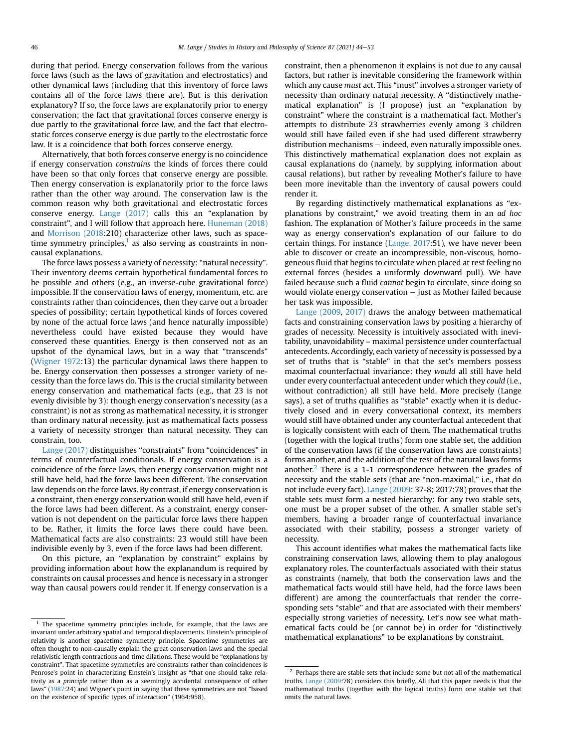during that period. Energy conservation follows from the various force laws (such as the laws of gravitation and electrostatics) and other dynamical laws (including that this inventory of force laws contains all of the force laws there are). But is this derivation explanatory? If so, the force laws are explanatorily prior to energy conservation; the fact that gravitational forces conserve energy is due partly to the gravitational force law, and the fact that electrostatic forces conserve energy is due partly to the electrostatic force law. It is a coincidence that both forces conserve energy.

Alternatively, that both forces conserve energy is no coincidence if energy conservation constrains the kinds of forces there could have been so that only forces that conserve energy are possible. Then energy conservation is explanatorily prior to the force laws rather than the other way around. The conservation law is the common reason why both gravitational and electrostatic forces conserve energy. [Lange \(2017\)](#page-9-11) calls this an "explanation by constraint", and I will follow that approach here. [Huneman \(2018\)](#page-9-12) and [Morrison \(2018:](#page-9-13)210) characterize other laws, such as spacetime symmetry principles, $<sup>1</sup>$  $<sup>1</sup>$  $<sup>1</sup>$  as also serving as constraints in non-</sup> causal explanations.

The force laws possess a variety of necessity: "natural necessity". Their inventory deems certain hypothetical fundamental forces to be possible and others (e.g., an inverse-cube gravitational force) impossible. If the conservation laws of energy, momentum, etc. are constraints rather than coincidences, then they carve out a broader species of possibility; certain hypothetical kinds of forces covered by none of the actual force laws (and hence naturally impossible) nevertheless could have existed because they would have conserved these quantities. Energy is then conserved not as an upshot of the dynamical laws, but in a way that "transcends" ([Wigner 1972](#page-9-14):13) the particular dynamical laws there happen to be. Energy conservation then possesses a stronger variety of necessity than the force laws do. This is the crucial similarity between energy conservation and mathematical facts (e.g., that 23 is not evenly divisible by 3): though energy conservation's necessity (as a constraint) is not as strong as mathematical necessity, it is stronger than ordinary natural necessity, just as mathematical facts possess a variety of necessity stronger than natural necessity. They can constrain, too.

[Lange \(2017\)](#page-9-11) distinguishes "constraints" from "coincidences" in terms of counterfactual conditionals. If energy conservation is a coincidence of the force laws, then energy conservation might not still have held, had the force laws been different. The conservation law depends on the force laws. By contrast, if energy conservation is a constraint, then energy conservation would still have held, even if the force laws had been different. As a constraint, energy conservation is not dependent on the particular force laws there happen to be. Rather, it limits the force laws there could have been. Mathematical facts are also constraints: 23 would still have been indivisible evenly by 3, even if the force laws had been different.

On this picture, an "explanation by constraint" explains by providing information about how the explanandum is required by constraints on causal processes and hence is necessary in a stronger way than causal powers could render it. If energy conservation is a constraint, then a phenomenon it explains is not due to any causal factors, but rather is inevitable considering the framework within which any cause must act. This "must" involves a stronger variety of necessity than ordinary natural necessity. A "distinctively mathematical explanation" is (I propose) just an "explanation by constraint" where the constraint is a mathematical fact. Mother's attempts to distribute 23 strawberries evenly among 3 children would still have failed even if she had used different strawberry  $distribution$  mechanisms  $-$  indeed, even naturally impossible ones. This distinctively mathematical explanation does not explain as causal explanations do (namely, by supplying information about causal relations), but rather by revealing Mother's failure to have been more inevitable than the inventory of causal powers could render it.

By regarding distinctively mathematical explanations as "explanations by constraint," we avoid treating them in an ad hoc fashion. The explanation of Mother's failure proceeds in the same way as energy conservation's explanation of our failure to do certain things. For instance ([Lange, 2017:](#page-9-11)51), we have never been able to discover or create an incompressible, non-viscous, homogeneous fluid that begins to circulate when placed at rest feeling no external forces (besides a uniformly downward pull). We have failed because such a fluid cannot begin to circulate, since doing so would violate energy conservation  $-$  just as Mother failed because her task was impossible.

[Lange \(2009](#page-9-15), [2017\)](#page-9-11) draws the analogy between mathematical facts and constraining conservation laws by positing a hierarchy of grades of necessity. Necessity is intuitively associated with inevitability, unavoidability – maximal persistence under counterfactual antecedents. Accordingly, each variety of necessity is possessed by a set of truths that is "stable" in that the set's members possess maximal counterfactual invariance: they would all still have held under every counterfactual antecedent under which they could (i.e., without contradiction) all still have held. More precisely (Lange says), a set of truths qualifies as "stable" exactly when it is deductively closed and in every conversational context, its members would still have obtained under any counterfactual antecedent that is logically consistent with each of them. The mathematical truths (together with the logical truths) form one stable set, the addition of the conservation laws (if the conservation laws are constraints) forms another, and the addition of the rest of the natural laws forms another.<sup>[2](#page-2-1)</sup> There is a 1-1 correspondence between the grades of necessity and the stable sets (that are "non-maximal," i.e., that do not include every fact). [Lange \(2009](#page-9-15): 37-8; 2017:78) proves that the stable sets must form a nested hierarchy: for any two stable sets, one must be a proper subset of the other. A smaller stable set's members, having a broader range of counterfactual invariance associated with their stability, possess a stronger variety of necessity.

This account identifies what makes the mathematical facts like constraining conservation laws, allowing them to play analogous explanatory roles. The counterfactuals associated with their status as constraints (namely, that both the conservation laws and the mathematical facts would still have held, had the force laws been different) are among the counterfactuals that render the corresponding sets "stable" and that are associated with their members' especially strong varieties of necessity. Let's now see what mathematical facts could be (or cannot be) in order for "distinctively mathematical explanations" to be explanations by constraint.

<span id="page-2-0"></span> $1$  The spacetime symmetry principles include, for example, that the laws are invariant under arbitrary spatial and temporal displacements. Einstein's principle of relativity is another spacetime symmetry principle. Spacetime symmetries are often thought to non-causally explain the great conservation laws and the special relativistic length contractions and time dilations. These would be "explanations by constraint". That spacetime symmetries are constraints rather than coincidences is Penrose's point in characterizing Einstein's insight as "that one should take relativity as a principle rather than as a seemingly accidental consequence of other laws" ([1987:](#page-9-16)24) and Wigner's point in saying that these symmetries are not "based on the existence of specific types of interaction" (1964:958).

<span id="page-2-1"></span> $^{\rm 2}$  Perhaps there are stable sets that include some but not all of the mathematical truths. [Lange \(2009:](#page-9-15)78) considers this briefly. All that this paper needs is that the mathematical truths (together with the logical truths) form one stable set that omits the natural laws.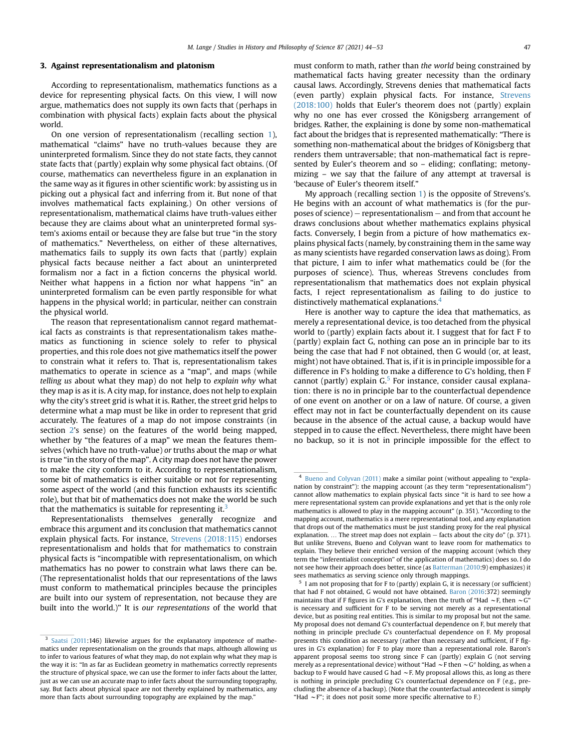#### <span id="page-3-0"></span>3. Against representationalism and platonism

According to representationalism, mathematics functions as a device for representing physical facts. On this view, I will now argue, mathematics does not supply its own facts that (perhaps in combination with physical facts) explain facts about the physical world.

On one version of representationalism (recalling section [1\)](#page-0-0), mathematical "claims" have no truth-values because they are uninterpreted formalism. Since they do not state facts, they cannot state facts that (partly) explain why some physical fact obtains. (Of course, mathematics can nevertheless figure in an explanation in the same way as it figures in other scientific work: by assisting us in picking out a physical fact and inferring from it. But none of that involves mathematical facts explaining.) On other versions of representationalism, mathematical claims have truth-values either because they are claims about what an uninterpreted formal system's axioms entail or because they are false but true "in the story of mathematics." Nevertheless, on either of these alternatives, mathematics fails to supply its own facts that (partly) explain physical facts because neither a fact about an uninterpreted formalism nor a fact in a fiction concerns the physical world. Neither what happens in a fiction nor what happens "in" an uninterpreted formalism can be even partly responsible for what happens in the physical world; in particular, neither can constrain the physical world.

The reason that representationalism cannot regard mathematical facts as constraints is that representationalism takes mathematics as functioning in science solely to refer to physical properties, and this role does not give mathematics itself the power to constrain what it refers to. That is, representationalism takes mathematics to operate in science as a "map", and maps (while telling us about what they map) do not help to explain why what they map is as it is. A city map, for instance, does not help to explain why the city's street grid is what it is. Rather, the street grid helps to determine what a map must be like in order to represent that grid accurately. The features of a map do not impose constraints (in section [2](#page-1-0)'s sense) on the features of the world being mapped, whether by "the features of a map" we mean the features themselves (which have no truth-value) or truths about the map or what is true "in the story of the map". A city map does not have the power to make the city conform to it. According to representationalism, some bit of mathematics is either suitable or not for representing some aspect of the world (and this function exhausts its scientific role), but that bit of mathematics does not make the world be such that the mathematics is suitable for representing it.<sup>3</sup>

Representationalists themselves generally recognize and embrace this argument and its conclusion that mathematics cannot explain physical facts. For instance, [Strevens \(2018:115\)](#page-9-17) endorses representationalism and holds that for mathematics to constrain physical facts is "incompatible with representationalism, on which mathematics has no power to constrain what laws there can be. (The representationalist holds that our representations of the laws must conform to mathematical principles because the principles are built into our system of representation, not because they are built into the world.)" It is our representations of the world that must conform to math, rather than the world being constrained by mathematical facts having greater necessity than the ordinary causal laws. Accordingly, Strevens denies that mathematical facts (even partly) explain physical facts. For instance, [Strevens](#page-9-17) [\(2018:100\)](#page-9-17) holds that Euler's theorem does not (partly) explain why no one has ever crossed the Königsberg arrangement of bridges. Rather, the explaining is done by some non-mathematical fact about the bridges that is represented mathematically: "There is something non-mathematical about the bridges of Königsberg that renders them untraversable; that non-mathematical fact is represented by Euler's theorem and so – eliding; conflating; metonymizing – we say that the failure of any attempt at traversal is 'because of' Euler's theorem itself."

My approach (recalling section [1](#page-0-0)) is the opposite of Strevens's. He begins with an account of what mathematics is (for the purposes of science) – representationalism  $-$  and from that account he draws conclusions about whether mathematics explains physical facts. Conversely, I begin from a picture of how mathematics explains physical facts (namely, by constraining them in the same way as many scientists have regarded conservation laws as doing). From that picture, I aim to infer what mathematics could be (for the purposes of science). Thus, whereas Strevens concludes from representationalism that mathematics does not explain physical facts, I reject representationalism as failing to do justice to distinctively mathematical explanations.<sup>[4](#page-3-2)</sup>

Here is another way to capture the idea that mathematics, as merely a representational device, is too detached from the physical world to (partly) explain facts about it. I suggest that for fact F to (partly) explain fact G, nothing can pose an in principle bar to its being the case that had F not obtained, then G would (or, at least, might) not have obtained. That is, if it is in principle impossible for a difference in F's holding to make a difference to G's holding, then F cannot (partly) explain  $G<sup>5</sup>$  $G<sup>5</sup>$  $G<sup>5</sup>$  For instance, consider causal explanation: there is no in principle bar to the counterfactual dependence of one event on another or on a law of nature. Of course, a given effect may not in fact be counterfactually dependent on its cause because in the absence of the actual cause, a backup would have stepped in to cause the effect. Nevertheless, there might have been no backup, so it is not in principle impossible for the effect to

<span id="page-3-1"></span><sup>&</sup>lt;sup>3</sup> [Saatsi \(2011:](#page-9-18)146) likewise argues for the explanatory impotence of mathematics under representationalism on the grounds that maps, although allowing us to infer to various features of what they map, do not explain why what they map is the way it is: "In as far as Euclidean geometry in mathematics correctly represents the structure of physical space, we can use the former to infer facts about the latter, just as we can use an accurate map to infer facts about the surrounding topography, say. But facts about physical space are not thereby explained by mathematics, any more than facts about surrounding topography are explained by the map."

<span id="page-3-2"></span><sup>4</sup> [Bueno and Colyvan \(2011\)](#page-9-6) make a similar point (without appealing to "explanation by constraint"): the mapping account (as they term "representationalism") cannot allow mathematics to explain physical facts since "it is hard to see how a mere representational system can provide explanations and yet that is the only role mathematics is allowed to play in the mapping account" (p. 351). "According to the mapping account, mathematics is a mere representational tool, and any explanation that drops out of the mathematics must be just standing proxy for the real physical explanation. ... The street map does not explain  $-$  facts about the city do" (p. 371). But unlike Strevens, Bueno and Colyvan want to leave room for mathematics to explain. They believe their enriched version of the mapping account (which they term the "inferentialist conception" of the application of mathematics) does so. I do not see how their approach does better, since (as [Batterman \(2010:](#page-9-19)9) emphasizes) it sees mathematics as serving science only through mappings.

<span id="page-3-3"></span><sup>5</sup> I am not proposing that for F to (partly) explain G, it is necessary (or sufficient) that had F not obtained, G would not have obtained. [Baron \(2016:](#page-9-20)372) seemingly maintains that if F figures in G's explanation, then the truth of "Had  $\sim$ F, then  $\sim$  G' is necessary and sufficient for F to be serving not merely as a representational device, but as positing real entities. This is similar to my proposal but not the same. My proposal does not demand G's counterfactual dependence on F, but merely that nothing in principle preclude G's counterfactual dependence on F. My proposal presents this condition as necessary (rather than necessary and sufficient, if F figures in G's explanation) for F to play more than a representational role. Baron's apparent proposal seems too strong since F can (partly) explain G (not serving merely as a representational device) without "Had  $\sim$  F then  $\sim$  G" holding, as when a backup to F would have caused G had  $\sim$  F. My proposal allows this, as long as there is nothing in principle precluding G's counterfactual dependence on F (e.g., precluding the absence of a backup). (Note that the counterfactual antecedent is simply "Had  $\sim$  F"; it does not posit some more specific alternative to F.)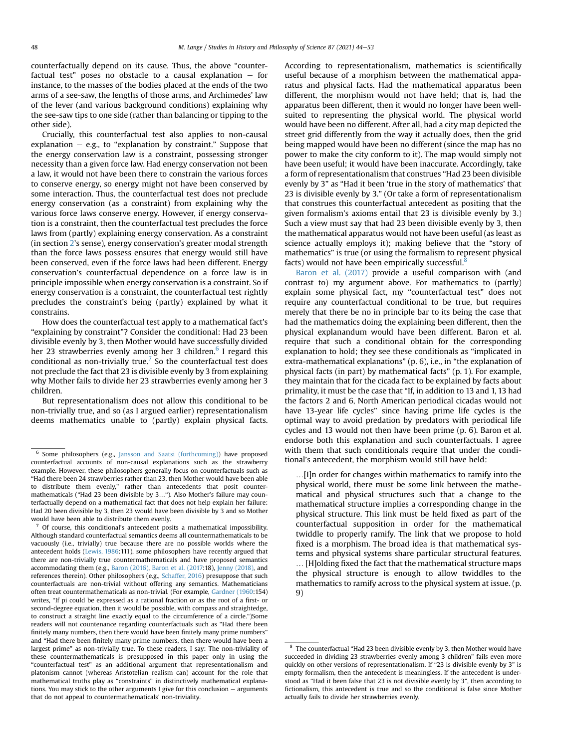counterfactually depend on its cause. Thus, the above "counterfactual test" poses no obstacle to a causal explanation  $-$  for instance, to the masses of the bodies placed at the ends of the two arms of a see-saw, the lengths of those arms, and Archimedes' law of the lever (and various background conditions) explaining why the see-saw tips to one side (rather than balancing or tipping to the other side).

Crucially, this counterfactual test also applies to non-causal explanation  $-$  e.g., to "explanation by constraint." Suppose that the energy conservation law is a constraint, possessing stronger necessity than a given force law. Had energy conservation not been a law, it would not have been there to constrain the various forces to conserve energy, so energy might not have been conserved by some interaction. Thus, the counterfactual test does not preclude energy conservation (as a constraint) from explaining why the various force laws conserve energy. However, if energy conservation is a constraint, then the counterfactual test precludes the force laws from (partly) explaining energy conservation. As a constraint (in section [2](#page-1-0)'s sense), energy conservation's greater modal strength than the force laws possess ensures that energy would still have been conserved, even if the force laws had been different. Energy conservation's counterfactual dependence on a force law is in principle impossible when energy conservation is a constraint. So if energy conservation is a constraint, the counterfactual test rightly precludes the constraint's being (partly) explained by what it constrains.

How does the counterfactual test apply to a mathematical fact's "explaining by constraint"? Consider the conditional: Had 23 been divisible evenly by 3, then Mother would have successfully divided her 23 strawberries evenly among her 3 children. $6$  I regard this conditional as non-trivially true.<sup>[7](#page-4-1)</sup> So the counterfactual test does not preclude the fact that 23 is divisible evenly by 3 from explaining why Mother fails to divide her 23 strawberries evenly among her 3 children.

But representationalism does not allow this conditional to be non-trivially true, and so (as I argued earlier) representationalism deems mathematics unable to (partly) explain physical facts.

<span id="page-4-1"></span> $7$  Of course, this conditional's antecedent posits a mathematical impossibility. Although standard counterfactual semantics deems all countermathematicals to be vacuously (i.e., trivially) true because there are no possible worlds where the antecedent holds [\(Lewis, 1986:](#page-9-22)111), some philosophers have recently argued that there are non-trivially true countermathematicals and have proposed semantics accommodating them (e.g., [Baron \(2016\)](#page-9-20), [Baron et al. \(2017:](#page-9-8)18), [Jenny \(2018\),](#page-9-23) and references therein). Other philosophers (e.g., [Schaffer, 2016\)](#page-9-24) presuppose that such counterfactuals are non-trivial without offering any semantics. Mathematicians often treat countermathematicals as non-trivial. (For example, [Gardner \(1960](#page-9-25):154) writes, "If pi could be expressed as a rational fraction or as the root of a first- or second-degree equation, then it would be possible, with compass and straightedge, to construct a straight line exactly equal to the circumference of a circle.")Some readers will not countenance regarding counterfactuals such as "Had there been finitely many numbers, then there would have been finitely many prime numbers" and "Had there been finitely many prime numbers, then there would have been a largest prime" as non-trivially true. To these readers, I say: The non-triviality of these countermathematicals is presupposed in this paper only in using the "counterfactual test" as an additional argument that representationalism and platonism cannot (whereas Aristotelian realism can) account for the role that mathematical truths play as "constraints" in distinctively mathematical explanations. You may stick to the other arguments I give for this conclusion  $-$  arguments that do not appeal to countermathematicals' non-triviality.

According to representationalism, mathematics is scientifically useful because of a morphism between the mathematical apparatus and physical facts. Had the mathematical apparatus been different, the morphism would not have held; that is, had the apparatus been different, then it would no longer have been wellsuited to representing the physical world. The physical world would have been no different. After all, had a city map depicted the street grid differently from the way it actually does, then the grid being mapped would have been no different (since the map has no power to make the city conform to it). The map would simply not have been useful; it would have been inaccurate. Accordingly, take a form of representationalism that construes "Had 23 been divisible evenly by 3" as "Had it been 'true in the story of mathematics' that 23 is divisible evenly by 3." (Or take a form of representationalism that construes this counterfactual antecedent as positing that the given formalism's axioms entail that 23 is divisible evenly by 3.) Such a view must say that had 23 been divisible evenly by 3, then the mathematical apparatus would not have been useful (as least as science actually employs it); making believe that the "story of mathematics" is true (or using the formalism to represent physical facts) would not have been empirically successful.<sup>[8](#page-4-2)</sup>

[Baron et al. \(2017\)](#page-9-8) provide a useful comparison with (and contrast to) my argument above. For mathematics to (partly) explain some physical fact, my "counterfactual test" does not require any counterfactual conditional to be true, but requires merely that there be no in principle bar to its being the case that had the mathematics doing the explaining been different, then the physical explanandum would have been different. Baron et al. require that such a conditional obtain for the corresponding explanation to hold; they see these conditionals as "implicated in extra-mathematical explanations" (p. 6), i.e., in "the explanation of physical facts (in part) by mathematical facts" (p. 1). For example, they maintain that for the cicada fact to be explained by facts about primality, it must be the case that "If, in addition to 13 and 1, 13 had the factors 2 and 6, North American periodical cicadas would not have 13-year life cycles" since having prime life cycles is the optimal way to avoid predation by predators with periodical life cycles and 13 would not then have been prime (p. 6). Baron et al. endorse both this explanation and such counterfactuals. I agree with them that such conditionals require that under the conditional's antecedent, the morphism would still have held:

...[I]n order for changes within mathematics to ramify into the physical world, there must be some link between the mathematical and physical structures such that a change to the mathematical structure implies a corresponding change in the physical structure. This link must be held fixed as part of the counterfactual supposition in order for the mathematical twiddle to properly ramify. The link that we propose to hold fixed is a morphism. The broad idea is that mathematical systems and physical systems share particular structural features. . [H]olding fixed the fact that the mathematical structure maps the physical structure is enough to allow twiddles to the mathematics to ramify across to the physical system at issue. (p. 9)

<span id="page-4-0"></span><sup>6</sup> Some philosophers (e.g., [Jansson and Saatsi \(forthcoming\)](#page-9-21)) have proposed counterfactual accounts of non-causal explanations such as the strawberry example. However, these philosophers generally focus on counterfactuals such as "Had there been 24 strawberries rather than 23, then Mother would have been able to distribute them evenly," rather than antecedents that posit countermathematicals ("Had 23 been divisible by 3..."). Also Mother's failure may counterfactually depend on a mathematical fact that does not help explain her failure: Had 20 been divisible by 3, then 23 would have been divisible by 3 and so Mother would have been able to distribute them evenly.

<span id="page-4-2"></span><sup>8</sup> The counterfactual "Had 23 been divisible evenly by 3, then Mother would have succeeded in dividing 23 strawberries evenly among 3 children" fails even more quickly on other versions of representationalism. If "23 is divisible evenly by 3" is empty formalism, then the antecedent is meaningless. If the antecedent is understood as "Had it been false that 23 is not divisible evenly by 3", then according to fictionalism, this antecedent is true and so the conditional is false since Mother actually fails to divide her strawberries evenly.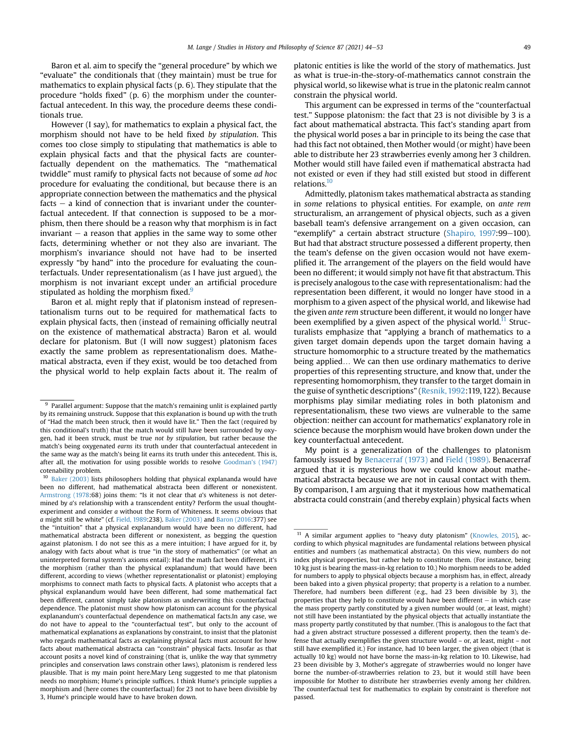Baron et al. aim to specify the "general procedure" by which we "evaluate" the conditionals that (they maintain) must be true for mathematics to explain physical facts (p. 6). They stipulate that the procedure "holds fixed" (p. 6) the morphism under the counterfactual antecedent. In this way, the procedure deems these conditionals true.

However (I say), for mathematics to explain a physical fact, the morphism should not have to be held fixed by stipulation. This comes too close simply to stipulating that mathematics is able to explain physical facts and that the physical facts are counterfactually dependent on the mathematics. The "mathematical twiddle" must ramify to physical facts not because of some ad hoc procedure for evaluating the conditional, but because there is an appropriate connection between the mathematics and the physical facts  $-$  a kind of connection that is invariant under the counterfactual antecedent. If that connection is supposed to be a morphism, then there should be a reason why that morphism is in fact invariant  $-$  a reason that applies in the same way to some other facts, determining whether or not they also are invariant. The morphism's invariance should not have had to be inserted expressly "by hand" into the procedure for evaluating the counterfactuals. Under representationalism (as I have just argued), the morphism is not invariant except under an artificial procedure stipulated as holding the morphism fixed.<sup>9</sup>

Baron et al. might reply that if platonism instead of representationalism turns out to be required for mathematical facts to explain physical facts, then (instead of remaining officially neutral on the existence of mathematical abstracta) Baron et al. would declare for platonism. But (I will now suggest) platonism faces exactly the same problem as representationalism does. Mathematical abstracta, even if they exist, would be too detached from the physical world to help explain facts about it. The realm of platonic entities is like the world of the story of mathematics. Just as what is true-in-the-story-of-mathematics cannot constrain the physical world, so likewise what is true in the platonic realm cannot constrain the physical world.

This argument can be expressed in terms of the "counterfactual test." Suppose platonism: the fact that 23 is not divisible by 3 is a fact about mathematical abstracta. This fact's standing apart from the physical world poses a bar in principle to its being the case that had this fact not obtained, then Mother would (or might) have been able to distribute her 23 strawberries evenly among her 3 children. Mother would still have failed even if mathematical abstracta had not existed or even if they had still existed but stood in different relations.<sup>10</sup>

Admittedly, platonism takes mathematical abstracta as standing in some relations to physical entities. For example, on ante rem structuralism, an arrangement of physical objects, such as a given baseball team's defensive arrangement on a given occasion, can "exemplify" a certain abstract structure ([Shapiro, 1997:](#page-9-26)99-100). But had that abstract structure possessed a different property, then the team's defense on the given occasion would not have exemplified it. The arrangement of the players on the field would have been no different; it would simply not have fit that abstractum. This is precisely analogous to the case with representationalism: had the representation been different, it would no longer have stood in a morphism to a given aspect of the physical world, and likewise had the given ante rem structure been different, it would no longer have been exemplified by a given aspect of the physical world.<sup>11</sup> Structuralists emphasize that "applying a branch of mathematics to a given target domain depends upon the target domain having a structure homomorphic to a structure treated by the mathematics being applied... We can then use ordinary mathematics to derive properties of this representing structure, and know that, under the representing homomorphism, they transfer to the target domain in the guise of synthetic descriptions" ([Resnik, 1992](#page-9-27):119, 122). Because morphisms play similar mediating roles in both platonism and representationalism, these two views are vulnerable to the same objection: neither can account for mathematics' explanatory role in science because the morphism would have broken down under the key counterfactual antecedent.

My point is a generalization of the challenges to platonism famously issued by [Benacerraf \(1973\)](#page-9-28) and [Field \(1989\).](#page-9-29) Benacerraf argued that it is mysterious how we could know about mathematical abstracta because we are not in causal contact with them. By comparison, I am arguing that it mysterious how mathematical abstracta could constrain (and thereby explain) physical facts when

<span id="page-5-0"></span> $9$  Parallel argument: Suppose that the match's remaining unlit is explained partly by its remaining unstruck. Suppose that this explanation is bound up with the truth of "Had the match been struck, then it would have lit." Then the fact (required by this conditional's truth) that the match would still have been surrounded by oxygen, had it been struck, must be true not by stipulation, but rather because the match's being oxygenated earns its truth under that counterfactual antecedent in the same way as the match's being lit earns its truth under this antecedent. This is, after all, the motivation for using possible worlds to resolve [Goodman](#page-9-30)'s (1947) cotenability problem.

<span id="page-5-1"></span><sup>&</sup>lt;sup>10</sup> [Baker \(2003\)](#page-9-31) lists philosophers holding that physical explananda would have been no different, had mathematical abstracta been different or nonexistent. [Armstrong \(1978:](#page-9-32)68) joins them: "Is it not clear that  $a$ 's whiteness is not determined by a's relationship with a transcendent entity? Perform the usual thoughtexperiment and consider a without the Form of Whiteness. It seems obvious that a might still be white" (cf. [Field, 1989:](#page-9-29)238). [Baker \(2003\)](#page-9-31) and [Baron \(2016](#page-9-20):377) see the "intuition" that a physical explanandum would have been no different, had mathematical abstracta been different or nonexistent, as begging the question against platonism. I do not see this as a mere intuition; I have argued for it, by analogy with facts about what is true "in the story of mathematics" (or what an uninterpreted formal system's axioms entail): Had the math fact been different, it's the morphism (rather than the physical explanandum) that would have been different, according to views (whether representationalist or platonist) employing morphisms to connect math facts to physical facts. A platonist who accepts that a physical explanandum would have been different, had some mathematical fact been different, cannot simply take platonism as underwriting this counterfactual dependence. The platonist must show how platonism can account for the physical explanandum's counterfactual dependence on mathematical facts.In any case, we do not have to appeal to the "counterfactual test", but only to the account of mathematical explanations as explanations by constraint, to insist that the platonist who regards mathematical facts as explaining physical facts must account for how facts about mathematical abstracta can "constrain" physical facts. Insofar as that account posits a novel kind of constraining (that is, unlike the way that symmetry principles and conservation laws constrain other laws), platonism is rendered less plausible. That is my main point here.Mary Leng suggested to me that platonism needs no morphism; Hume's principle suffices. I think Hume's principle supplies a morphism and (here comes the counterfactual) for 23 not to have been divisible by 3, Hume's principle would have to have broken down.

<span id="page-5-2"></span><sup>&</sup>lt;sup>11</sup> A similar argument applies to "heavy duty platonism" [\(Knowles, 2015](#page-9-33)), according to which physical magnitudes are fundamental relations between physical entities and numbers (as mathematical abstracta). On this view, numbers do not index physical properties, but rather help to constitute them. (For instance, being 10 kg just is bearing the mass-in-kg relation to 10.) No morphism needs to be added for numbers to apply to physical objects because a morphism has, in effect, already been baked into a given physical property; that property is a relation to a number. Therefore, had numbers been different (e.g., had 23 been divisible by 3), the properties that they help to constitute would have been different  $-$  in which case the mass property partly constituted by a given number would (or, at least, might) not still have been instantiated by the physical objects that actually instantiate the mass property partly constituted by that number. (This is analogous to the fact that had a given abstract structure possessed a different property, then the team's defense that actually exemplifies the given structure would – or, at least, might – not still have exemplified it.) For instance, had 10 been larger, the given object (that is actually 10 kg) would not have borne the mass-in-kg relation to 10. Likewise, had 23 been divisible by 3, Mother's aggregate of strawberries would no longer have borne the number-of-strawberries relation to 23, but it would still have been impossible for Mother to distribute her strawberries evenly among her children. The counterfactual test for mathematics to explain by constraint is therefore not passed.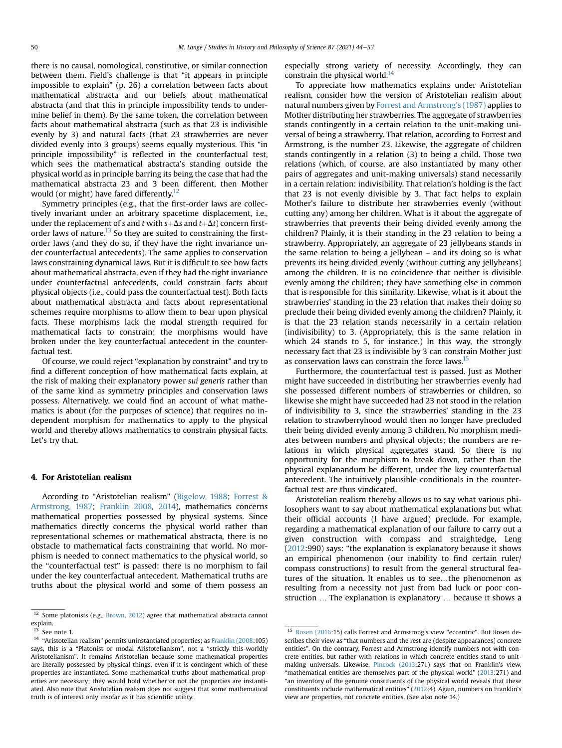there is no causal, nomological, constitutive, or similar connection between them. Field's challenge is that "it appears in principle impossible to explain" (p. 26) a correlation between facts about mathematical abstracta and our beliefs about mathematical abstracta (and that this in principle impossibility tends to undermine belief in them). By the same token, the correlation between facts about mathematical abstracta (such as that 23 is indivisible evenly by 3) and natural facts (that 23 strawberries are never divided evenly into 3 groups) seems equally mysterious. This "in principle impossibility" is reflected in the counterfactual test, which sees the mathematical abstracta's standing outside the physical world as in principle barring its being the case that had the mathematical abstracta 23 and 3 been different, then Mother would (or might) have fared differently. $12$ 

Symmetry principles (e.g., that the first-order laws are collectively invariant under an arbitrary spacetime displacement, i.e., under the replacement of s and t with  $s+\Delta s$  and  $t+\Delta t$ ) concern first-order laws of nature.<sup>[13](#page-6-2)</sup> So they are suited to constraining the firstorder laws (and they do so, if they have the right invariance under counterfactual antecedents). The same applies to conservation laws constraining dynamical laws. But it is difficult to see how facts about mathematical abstracta, even if they had the right invariance under counterfactual antecedents, could constrain facts about physical objects (i.e., could pass the counterfactual test). Both facts about mathematical abstracta and facts about representational schemes require morphisms to allow them to bear upon physical facts. These morphisms lack the modal strength required for mathematical facts to constrain; the morphisms would have broken under the key counterfactual antecedent in the counterfactual test.

Of course, we could reject "explanation by constraint" and try to find a different conception of how mathematical facts explain, at the risk of making their explanatory power sui generis rather than of the same kind as symmetry principles and conservation laws possess. Alternatively, we could find an account of what mathematics is about (for the purposes of science) that requires no independent morphism for mathematics to apply to the physical world and thereby allows mathematics to constrain physical facts. Let's try that.

#### <span id="page-6-0"></span>4. For Aristotelian realism

According to "Aristotelian realism" ([Bigelow, 1988](#page-9-34); [Forrest &](#page-9-35) [Armstrong, 1987](#page-9-35); [Franklin 2008](#page-9-36), [2014](#page-9-37)), mathematics concerns mathematical properties possessed by physical systems. Since mathematics directly concerns the physical world rather than representational schemes or mathematical abstracta, there is no obstacle to mathematical facts constraining that world. No morphism is needed to connect mathematics to the physical world, so the "counterfactual test" is passed: there is no morphism to fail under the key counterfactual antecedent. Mathematical truths are truths about the physical world and some of them possess an especially strong variety of necessity. Accordingly, they can constrain the physical world. $14$ 

To appreciate how mathematics explains under Aristotelian realism, consider how the version of Aristotelian realism about natural numbers given by [Forrest and Armstrong](#page-9-35)'s (1987) applies to Mother distributing her strawberries. The aggregate of strawberries stands contingently in a certain relation to the unit-making universal of being a strawberry. That relation, according to Forrest and Armstrong, is the number 23. Likewise, the aggregate of children stands contingently in a relation (3) to being a child. Those two relations (which, of course, are also instantiated by many other pairs of aggregates and unit-making universals) stand necessarily in a certain relation: indivisibility. That relation's holding is the fact that 23 is not evenly divisible by 3. That fact helps to explain Mother's failure to distribute her strawberries evenly (without cutting any) among her children. What is it about the aggregate of strawberries that prevents their being divided evenly among the children? Plainly, it is their standing in the 23 relation to being a strawberry. Appropriately, an aggregate of 23 jellybeans stands in the same relation to being a jellybean – and its doing so is what prevents its being divided evenly (without cutting any jellybeans) among the children. It is no coincidence that neither is divisible evenly among the children; they have something else in common that is responsible for this similarity. Likewise, what is it about the strawberries' standing in the 23 relation that makes their doing so preclude their being divided evenly among the children? Plainly, it is that the 23 relation stands necessarily in a certain relation (indivisibility) to 3. (Appropriately, this is the same relation in which 24 stands to 5, for instance.) In this way, the strongly necessary fact that 23 is indivisible by 3 can constrain Mother just as conservation laws can constrain the force laws.<sup>[15](#page-6-4)</sup>

Furthermore, the counterfactual test is passed. Just as Mother might have succeeded in distributing her strawberries evenly had she possessed different numbers of strawberries or children, so likewise she might have succeeded had 23 not stood in the relation of indivisibility to 3, since the strawberries' standing in the 23 relation to strawberryhood would then no longer have precluded their being divided evenly among 3 children. No morphism mediates between numbers and physical objects; the numbers are relations in which physical aggregates stand. So there is no opportunity for the morphism to break down, rather than the physical explanandum be different, under the key counterfactual antecedent. The intuitively plausible conditionals in the counterfactual test are thus vindicated.

Aristotelian realism thereby allows us to say what various philosophers want to say about mathematical explanations but what their official accounts (I have argued) preclude. For example, regarding a mathematical explanation of our failure to carry out a given construction with compass and straightedge, Leng ([2012](#page-9-10):990) says: "the explanation is explanatory because it shows an empirical phenomenon (our inability to find certain ruler/ compass constructions) to result from the general structural features of the situation. It enables us to see...the phenomenon as resulting from a necessity not just from bad luck or poor construction ... The explanation is explanatory ... because it shows a

<span id="page-6-1"></span><sup>&</sup>lt;sup>12</sup> Some platonists (e.g., [Brown, 2012\)](#page-9-38) agree that mathematical abstracta cannot explain.

<span id="page-6-2"></span>See note 1.

<span id="page-6-3"></span> $^{\rm 14}$  "Aristotelian realism" permits uninstantiated properties; as [Franklin \(2008](#page-9-36):105) says, this is a "Platonist or modal Aristotelianism", not a "strictly this-worldly Aristotelianism". It remains Aristotelian because some mathematical properties are literally possessed by physical things, even if it is contingent which of these properties are instantiated. Some mathematical truths about mathematical properties are necessary; they would hold whether or not the properties are instantiated. Also note that Aristotelian realism does not suggest that some mathematical truth is of interest only insofar as it has scientific utility.

<span id="page-6-4"></span><sup>15</sup> [Rosen \(2016:](#page-9-39)15) calls Forrest and Armstrong's view "eccentric". But Rosen describes their view as "that numbers and the rest are (despite appearances) concrete entities". On the contrary, Forrest and Armstrong identify numbers not with concrete entities, but rather with relations in which concrete entities stand to unitmaking universals. Likewise, [Pincock \(2013](#page-9-40):271) says that on Franklin's view, "mathematical entities are themselves part of the physical world" ([2013](#page-9-40):271) and "an inventory of the genuine constituents of the physical world reveals that these constituents include mathematical entities" [\(2012:](#page-9-41)4). Again, numbers on Franklin's view are properties, not concrete entities. (See also note 14.)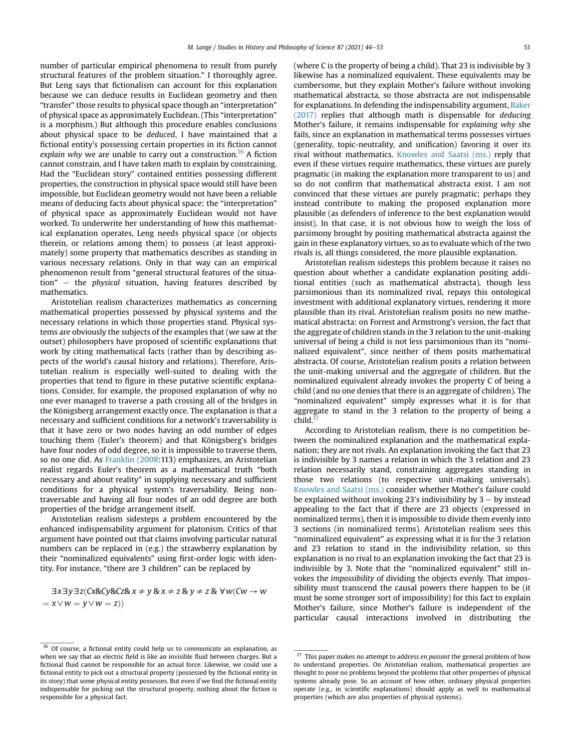number of particular empirical phenomena to result from purely structural features of the problem situation." I thoroughly agree. But Leng says that fictionalism can account for this explanation because we can deduce results in Euclidean geometry and then "transfer" those results to physical space though an "interpretation" of physical space as approximately Euclidean. (This "interpretation" is a morphism.) But although this procedure enables conclusions about physical space to be deduced, I have maintained that a fictional entity's possessing certain properties in its fiction cannot explain why we are unable to carry out a construction.<sup>16</sup> A fiction cannot constrain, and I have taken math to explain by constraining. Had the "Euclidean story" contained entities possessing different properties, the construction in physical space would still have been impossible, but Euclidean geometry would not have been a reliable means of deducing facts about physical space; the "interpretation" of physical space as approximately Euclidean would not have worked. To underwrite her understanding of how this mathematical explanation operates, Leng needs physical space (or objects therein, or relations among them) to possess (at least approximately) some property that mathematics describes as standing in various necessary relations. Only in that way can an empirical phenomenon result from "general structural features of the situa $tion" - the physical situation, having features described by$ mathematics.

Aristotelian realism characterizes mathematics as concerning mathematical properties possessed by physical systems and the necessary relations in which those properties stand. Physical systems are obviously the subjects of the examples that (we saw at the outset) philosophers have proposed of scientific explanations that work by citing mathematical facts (rather than by describing aspects of the world's causal history and relations). Therefore, Aristotelian realism is especially well-suited to dealing with the properties that tend to figure in these putative scientific explanations. Consider, for example, the proposed explanation of why no one ever managed to traverse a path crossing all of the bridges in the Königsberg arrangement exactly once. The explanation is that a necessary and sufficient conditions for a network's traversability is that it have zero or two nodes having an odd number of edges touching them (Euler's theorem) and that Königsberg's bridges have four nodes of odd degree, so it is impossible to traverse them, so no one did. As [Franklin \(2008:](#page-9-36)113) emphasizes, an Aristotelian realist regards Euler's theorem as a mathematical truth "both necessary and about reality" in supplying necessary and sufficient conditions for a physical system's traversability. Being nontraversable and having all four nodes of an odd degree are both properties of the bridge arrangement itself.

Aristotelian realism sidesteps a problem encountered by the enhanced indispensability argument for platonism. Critics of that argument have pointed out that claims involving particular natural numbers can be replaced in (e.g.) the strawberry explanation by their "nominalized equivalents" using first-order logic with identity. For instance, "there are 3 children" can be replaced by

 $\exists x \exists y \exists z (Cx \& Cy \& Cz \& x \neq y \& x \neq z \& y \neq z \& \forall w (Cw \rightarrow w$  $= x \vee w = y \vee w = z)$ 

(where C is the property of being a child). That 23 is indivisible by 3 likewise has a nominalized equivalent. These equivalents may be cumbersome, but they explain Mother's failure without invoking mathematical abstracta, so those abstracta are not indispensable for explanations. In defending the indispensability argument, [Baker](#page-9-42) [\(2017\)](#page-9-42) replies that although math is dispensable for deducing Mother's failure, it remains indispensable for explaining why she fails, since an explanation in mathematical terms possesses virtues (generality, topic-neutrality, and unification) favoring it over its rival without mathematics. [Knowles and Saatsi \(ms.\)](#page-9-43) reply that even if these virtues require mathematics, these virtues are purely pragmatic (in making the explanation more transparent to us) and so do not confirm that mathematical abstracta exist. I am not convinced that these virtues are purely pragmatic; perhaps they instead contribute to making the proposed explanation more plausible (as defenders of inference to the best explanation would insist). In that case, it is not obvious how to weigh the loss of parsimony brought by positing mathematical abstracta against the gain in these explanatory virtues, so as to evaluate which of the two rivals is, all things considered, the more plausible explanation.

Aristotelian realism sidesteps this problem because it raises no question about whether a candidate explanation positing additional entities (such as mathematical abstracta), though less parsimonious than its nominalized rival, repays this ontological investment with additional explanatory virtues, rendering it more plausible than its rival. Aristotelian realism posits no new mathematical abstracta: on Forrest and Armstrong's version, the fact that the aggregate of children stands in the 3 relation to the unit-making universal of being a child is not less parsimonious than its "nominalized equivalent", since neither of them posits mathematical abstracta. Of course, Aristotelian realism posits a relation between the unit-making universal and the aggregate of children. But the nominalized equivalent already invokes the property C of being a child (and no one denies that there is an aggregate of children). The "nominalized equivalent" simply expresses what it is for that aggregate to stand in the 3 relation to the property of being a child. $^{17}$ 

According to Aristotelian realism, there is no competition between the nominalized explanation and the mathematical explanation; they are not rivals. An explanation invoking the fact that 23 is indivisible by 3 names a relation in which the 3 relation and 23 relation necessarily stand, constraining aggregates standing in those two relations (to respective unit-making universals). [Knowles and Saatsi \(ms.\)](#page-9-43) consider whether Mother's failure could be explained without invoking 23's indivisibility by  $3 -$  by instead appealing to the fact that if there are 23 objects (expressed in nominalized terms), then it is impossible to divide them evenly into 3 sections (in nominalized terms). Aristotelian realism sees this "nominalized equivalent" as expressing what it is for the 3 relation and 23 relation to stand in the indivisibility relation, so this explanation is no rival to an explanation invoking the fact that 23 is indivisible by 3. Note that the "nominalized equivalent" still invokes the impossibility of dividing the objects evenly. That impossibility must transcend the causal powers there happen to be (it must be some stronger sort of impossibility) for this fact to explain Mother's failure, since Mother's failure is independent of the particular causal interactions involved in distributing the

<span id="page-7-0"></span><sup>&</sup>lt;sup>16</sup> Of course, a fictional entity could help us to communicate an explanation, as when we say that an electric field is like an invisible fluid between charges. But a fictional fluid cannot be responsible for an actual force. Likewise, we could use a fictional entity to pick out a structural property (possessed by the fictional entity in its story) that some physical entity possesses. But even if we find the fictional entity indispensable for picking out the structural property, nothing about the fiction is responsible for a physical fact.

<span id="page-7-1"></span> $^{17}\,$  This paper makes no attempt to address  $en$  passant the general problem of how to understand properties. On Aristotelian realism, mathematical properties are thought to pose no problems beyond the problems that other properties of physical systems already pose. So an account of how other, ordinary physical properties operate (e.g., in scientific explanations) should apply as well to mathematical properties (which are also properties of physical systems).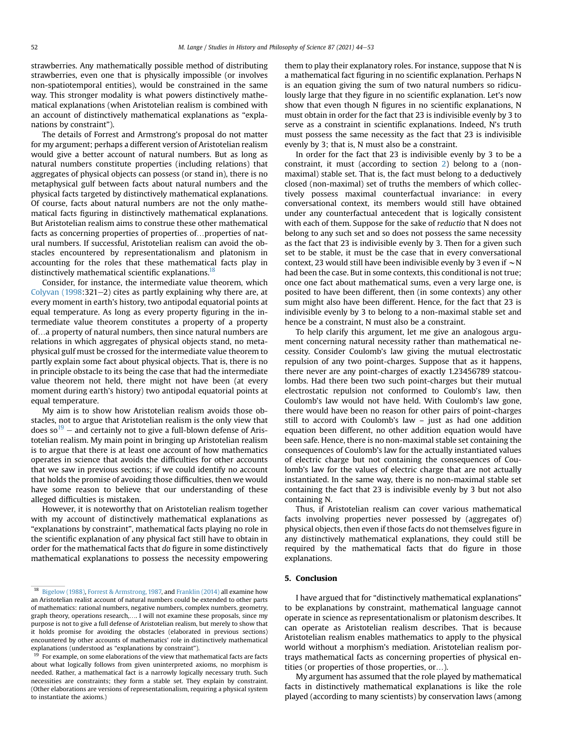strawberries. Any mathematically possible method of distributing strawberries, even one that is physically impossible (or involves non-spatiotemporal entities), would be constrained in the same way. This stronger modality is what powers distinctively mathematical explanations (when Aristotelian realism is combined with an account of distinctively mathematical explanations as "explanations by constraint").

The details of Forrest and Armstrong's proposal do not matter for my argument; perhaps a different version of Aristotelian realism would give a better account of natural numbers. But as long as natural numbers constitute properties (including relations) that aggregates of physical objects can possess (or stand in), there is no metaphysical gulf between facts about natural numbers and the physical facts targeted by distinctively mathematical explanations. Of course, facts about natural numbers are not the only mathematical facts figuring in distinctively mathematical explanations. But Aristotelian realism aims to construe these other mathematical facts as concerning properties of properties of...properties of natural numbers. If successful, Aristotelian realism can avoid the obstacles encountered by representationalism and platonism in accounting for the roles that these mathematical facts play in distinctively mathematical scientific explanations.<sup>18</sup>

Consider, for instance, the intermediate value theorem, which Colyvan  $(1998:321-2)$  cites as partly explaining why there are, at every moment in earth's history, two antipodal equatorial points at equal temperature. As long as every property figuring in the intermediate value theorem constitutes a property of a property of...a property of natural numbers, then since natural numbers are relations in which aggregates of physical objects stand, no metaphysical gulf must be crossed for the intermediate value theorem to partly explain some fact about physical objects. That is, there is no in principle obstacle to its being the case that had the intermediate value theorem not held, there might not have been (at every moment during earth's history) two antipodal equatorial points at equal temperature.

My aim is to show how Aristotelian realism avoids those obstacles, not to argue that Aristotelian realism is the only view that does so<sup>19</sup> – and certainly not to give a full-blown defense of Aristotelian realism. My main point in bringing up Aristotelian realism is to argue that there is at least one account of how mathematics operates in science that avoids the difficulties for other accounts that we saw in previous sections; if we could identify no account that holds the promise of avoiding those difficulties, then we would have some reason to believe that our understanding of these alleged difficulties is mistaken.

However, it is noteworthy that on Aristotelian realism together with my account of distinctively mathematical explanations as "explanations by constraint", mathematical facts playing no role in the scientific explanation of any physical fact still have to obtain in order for the mathematical facts that do figure in some distinctively mathematical explanations to possess the necessity empowering them to play their explanatory roles. For instance, suppose that N is a mathematical fact figuring in no scientific explanation. Perhaps N is an equation giving the sum of two natural numbers so ridiculously large that they figure in no scientific explanation. Let's now show that even though N figures in no scientific explanations, N must obtain in order for the fact that 23 is indivisible evenly by 3 to serve as a constraint in scientific explanations. Indeed, N's truth must possess the same necessity as the fact that 23 is indivisible evenly by 3; that is, N must also be a constraint.

In order for the fact that 23 is indivisible evenly by 3 to be a constraint, it must (according to section [2\)](#page-1-0) belong to a (nonmaximal) stable set. That is, the fact must belong to a deductively closed (non-maximal) set of truths the members of which collectively possess maximal counterfactual invariance: in every conversational context, its members would still have obtained under any counterfactual antecedent that is logically consistent with each of them. Suppose for the sake of reductio that N does not belong to any such set and so does not possess the same necessity as the fact that 23 is indivisible evenly by 3. Then for a given such set to be stable, it must be the case that in every conversational context, 23 would still have been indivisible evenly by 3 even if  $\sim$  N had been the case. But in some contexts, this conditional is not true; once one fact about mathematical sums, even a very large one, is posited to have been different, then (in some contexts) any other sum might also have been different. Hence, for the fact that 23 is indivisible evenly by 3 to belong to a non-maximal stable set and hence be a constraint, N must also be a constraint.

To help clarify this argument, let me give an analogous argument concerning natural necessity rather than mathematical necessity. Consider Coulomb's law giving the mutual electrostatic repulsion of any two point-charges. Suppose that as it happens, there never are any point-charges of exactly 1.23456789 statcoulombs. Had there been two such point-charges but their mutual electrostatic repulsion not conformed to Coulomb's law, then Coulomb's law would not have held. With Coulomb's law gone, there would have been no reason for other pairs of point-charges still to accord with Coulomb's law – just as had one addition equation been different, no other addition equation would have been safe. Hence, there is no non-maximal stable set containing the consequences of Coulomb's law for the actually instantiated values of electric charge but not containing the consequences of Coulomb's law for the values of electric charge that are not actually instantiated. In the same way, there is no non-maximal stable set containing the fact that 23 is indivisible evenly by 3 but not also containing N.

Thus, if Aristotelian realism can cover various mathematical facts involving properties never possessed by (aggregates of) physical objects, then even if those facts do not themselves figure in any distinctively mathematical explanations, they could still be required by the mathematical facts that do figure in those explanations.

## 5. Conclusion

I have argued that for "distinctively mathematical explanations" to be explanations by constraint, mathematical language cannot operate in science as representationalism or platonism describes. It can operate as Aristotelian realism describes. That is because Aristotelian realism enables mathematics to apply to the physical world without a morphism's mediation. Aristotelian realism portrays mathematical facts as concerning properties of physical entities (or properties of those properties, or...).

My argument has assumed that the role played by mathematical facts in distinctively mathematical explanations is like the role played (according to many scientists) by conservation laws (among

<span id="page-8-0"></span><sup>18</sup> [Bigelow \(1988\)](#page-9-34), [Forrest & Armstrong, 1987,](#page-9-35) and [Franklin \(2014\)](#page-9-37) all examine how an Aristotelian realist account of natural numbers could be extended to other parts of mathematics: rational numbers, negative numbers, complex numbers, geometry, graph theory, operations research,.. I will not examine these proposals, since my purpose is not to give a full defense of Aristotelian realism, but merely to show that it holds promise for avoiding the obstacles (elaborated in previous sections) encountered by other accounts of mathematics' role in distinctively mathematical explanations (understood as "explanations by constraint").

<span id="page-8-1"></span> $19$  For example, on some elaborations of the view that mathematical facts are facts about what logically follows from given uninterpreted axioms, no morphism is needed. Rather, a mathematical fact is a narrowly logically necessary truth. Such necessities are constraints; they form a stable set. They explain by constraint. (Other elaborations are versions of representationalism, requiring a physical system to instantiate the axioms.)